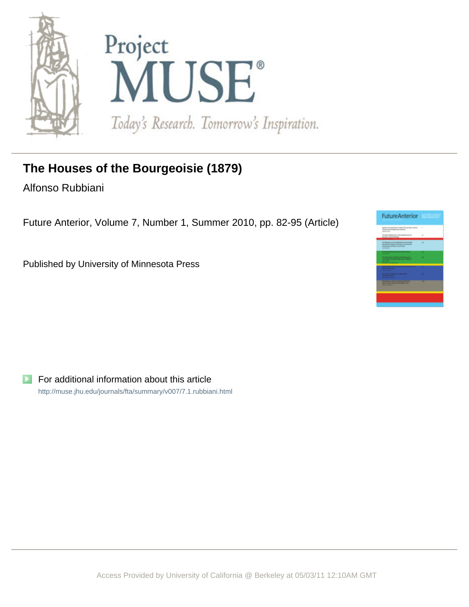



## **The Houses of the Bourgeoisie (1879)**

Alfonso Rubbiani

Future Anterior, Volume 7, Number 1, Summer 2010, pp. 82-95 (Article)

Published by University of Minnesota Press



For additional information about this article <http://muse.jhu.edu/journals/fta/summary/v007/7.1.rubbiani.html>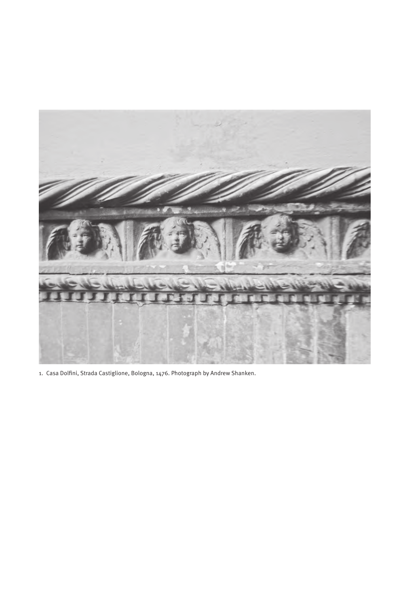

1. Casa Dolfini, Strada Castiglione, Bologna, 1476. Photograph by Andrew Shanken.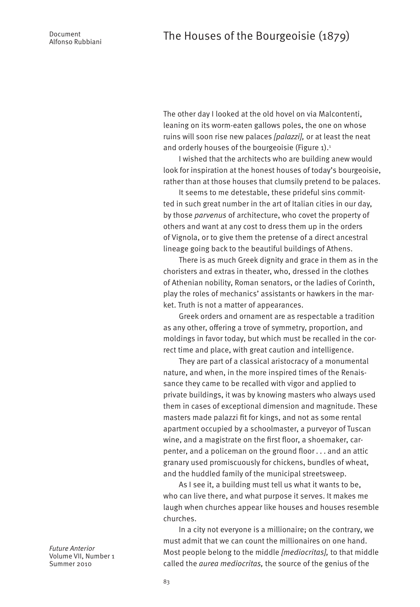The other day I looked at the old hovel on via Malcontenti, leaning on its worm-eaten gallows poles, the one on whose ruins will soon rise new palaces *[palazzi],* or at least the neat and orderly houses of the bourgeoisie (Figure 1).<sup>1</sup>

I wished that the architects who are building anew would look for inspiration at the honest houses of today's bourgeoisie, rather than at those houses that clumsily pretend to be palaces.

It seems to me detestable, these prideful sins committed in such great number in the art of Italian cities in our day, by those *parvenus* of architecture, who covet the property of others and want at any cost to dress them up in the orders of Vignola, or to give them the pretense of a direct ancestral lineage going back to the beautiful buildings of Athens.

There is as much Greek dignity and grace in them as in the choristers and extras in theater, who, dressed in the clothes of Athenian nobility, Roman senators, or the ladies of Corinth, play the roles of mechanics' assistants or hawkers in the market. Truth is not a matter of appearances.

Greek orders and ornament are as respectable a tradition as any other, offering a trove of symmetry, proportion, and moldings in favor today, but which must be recalled in the correct time and place, with great caution and intelligence.

They are part of a classical aristocracy of a monumental nature, and when, in the more inspired times of the Renaissance they came to be recalled with vigor and applied to private buildings, it was by knowing masters who always used them in cases of exceptional dimension and magnitude. These masters made palazzi fit for kings, and not as some rental apartment occupied by a schoolmaster, a purveyor of Tuscan wine, and a magistrate on the first floor, a shoemaker, carpenter, and a policeman on the ground floor . . . and an attic granary used promiscuously for chickens, bundles of wheat, and the huddled family of the municipal streetsweep.

As I see it, a building must tell us what it wants to be, who can live there, and what purpose it serves. It makes me laugh when churches appear like houses and houses resemble churches.

In a city not everyone is a millionaire; on the contrary, we must admit that we can count the millionaires on one hand. Most people belong to the middle *[mediocritas],* to that middle called the *aurea mediocritas,* the source of the genius of the

*Future Anterior* Volume VII, Number 1 Summer 2010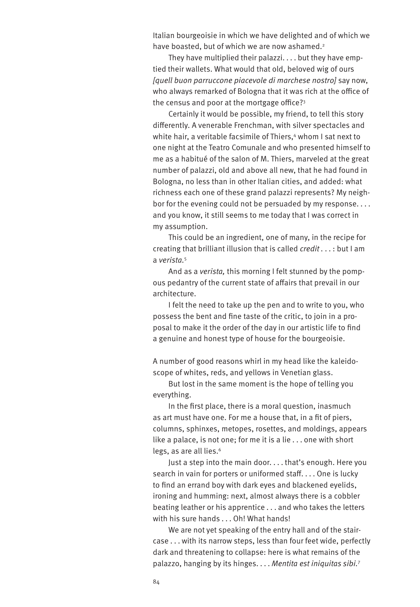Italian bourgeoisie in which we have delighted and of which we have boasted, but of which we are now ashamed.<sup>2</sup>

They have multiplied their palazzi. . . . but they have emptied their wallets. What would that old, beloved wig of ours *[quell buon parruccone piacevole di marchese nostro]* say now, who always remarked of Bologna that it was rich at the office of the census and poor at the mortgage office?3

Certainly it would be possible, my friend, to tell this story differently. A venerable Frenchman, with silver spectacles and white hair, a veritable facsimile of Thiers,4 whom I sat next to one night at the Teatro Comunale and who presented himself to me as a habitué of the salon of M. Thiers, marveled at the great number of palazzi, old and above all new, that he had found in Bologna, no less than in other Italian cities, and added: what richness each one of these grand palazzi represents? My neighbor for the evening could not be persuaded by my response. . . . and you know, it still seems to me today that I was correct in my assumption.

This could be an ingredient, one of many, in the recipe for creating that brilliant illusion that is called *credit .* . . : but I am a *verista.*<sup>5</sup>

And as a *verista,* this morning I felt stunned by the pompous pedantry of the current state of affairs that prevail in our architecture.

I felt the need to take up the pen and to write to you, who possess the bent and fine taste of the critic, to join in a proposal to make it the order of the day in our artistic life to find a genuine and honest type of house for the bourgeoisie.

A number of good reasons whirl in my head like the kaleidoscope of whites, reds, and yellows in Venetian glass.

But lost in the same moment is the hope of telling you everything.

In the first place, there is a moral question, inasmuch as art must have one. For me a house that, in a fit of piers, columns, sphinxes, metopes, rosettes, and moldings, appears like a palace, is not one; for me it is a lie . . . one with short legs, as are all lies.<sup>6</sup>

Just a step into the main door. . . . that's enough. Here you search in vain for porters or uniformed staff. . . . One is lucky to find an errand boy with dark eyes and blackened eyelids, ironing and humming: next, almost always there is a cobbler beating leather or his apprentice . . . and who takes the letters with his sure hands . . . Oh! What hands!

We are not yet speaking of the entry hall and of the staircase . . . with its narrow steps, less than four feet wide, perfectly dark and threatening to collapse: here is what remains of the palazzo, hanging by its hinges. . . . *Mentita est iniquitas sibi.*<sup>7</sup>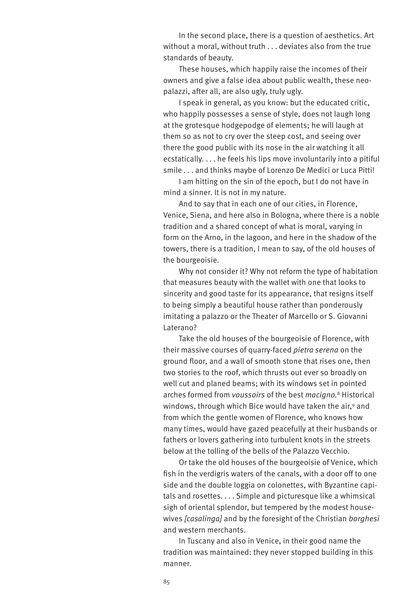In the second place, there is a question of aesthetics. Art without a moral, without truth . . . deviates also from the true standards of beauty.

These houses, which happily raise the incomes of their owners and give a false idea about public wealth, these neopalazzi, after all, are also ugly, truly ugly.

I speak in general, as you know: but the educated critic, who happily possesses a sense of style, does not laugh long at the grotesque hodgepodge of elements; he will laugh at them so as not to cry over the steep cost, and seeing over there the good public with its nose in the air watching it all ecstatically. . . . he feels his lips move involuntarily into a pitiful smile . . . and thinks maybe of Lorenzo De Medici or Luca Pitti!

I am hitting on the sin of the epoch, but I do not have in mind a sinner. It is not in my nature.

And to say that in each one of our cities, in Florence, Venice, Siena, and here also in Bologna, where there is a noble tradition and a shared concept of what is moral, varying in form on the Arno, in the lagoon, and here in the shadow of the towers, there is a tradition, I mean to say, of the old houses of the bourgeoisie.

Why not consider it? Why not reform the type of habitation that measures beauty with the wallet with one that looks to sincerity and good taste for its appearance, that resigns itself to being simply a beautiful house rather than ponderously imitating a palazzo or the Theater of Marcello or S. Giovanni Laterano?

Take the old houses of the bourgeoisie of Florence, with their massive courses of quarry-faced *pietra serena* on the ground floor, and a wall of smooth stone that rises one, then two stories to the roof, which thrusts out ever so broadly on well cut and planed beams; with its windows set in pointed arches formed from *voussoirs* of the best *macigno.*8 Historical windows, through which Bice would have taken the air,<sup>9</sup> and from which the gentle women of Florence, who knows how many times, would have gazed peacefully at their husbands or fathers or lovers gathering into turbulent knots in the streets below at the tolling of the bells of the Palazzo Vecchio.

Or take the old houses of the bourgeoisie of Venice, which fish in the verdigris waters of the canals, with a door off to one side and the double loggia on colonettes, with Byzantine capitals and rosettes. . . . Simple and picturesque like a whimsical sigh of oriental splendor, but tempered by the modest housewives *[casalinga]* and by the foresight of the Christian *borghesi* and western merchants.

In Tuscany and also in Venice, in their good name the tradition was maintained: they never stopped building in this manner.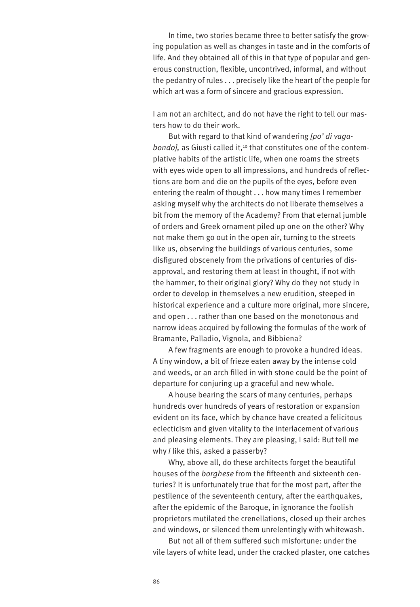In time, two stories became three to better satisfy the growing population as well as changes in taste and in the comforts of life. And they obtained all of this in that type of popular and generous construction, flexible, uncontrived, informal, and without the pedantry of rules . . . precisely like the heart of the people for which art was a form of sincere and gracious expression.

I am not an architect, and do not have the right to tell our masters how to do their work.

But with regard to that kind of wandering *[po' di vagabondo]*, as Giusti called it,<sup>10</sup> that constitutes one of the contemplative habits of the artistic life, when one roams the streets with eyes wide open to all impressions, and hundreds of reflections are born and die on the pupils of the eyes, before even entering the realm of thought . . . how many times I remember asking myself why the architects do not liberate themselves a bit from the memory of the Academy? From that eternal jumble of orders and Greek ornament piled up one on the other? Why not make them go out in the open air, turning to the streets like us, observing the buildings of various centuries, some disfigured obscenely from the privations of centuries of disapproval, and restoring them at least in thought, if not with the hammer, to their original glory? Why do they not study in order to develop in themselves a new erudition, steeped in historical experience and a culture more original, more sincere, and open . . . rather than one based on the monotonous and narrow ideas acquired by following the formulas of the work of Bramante, Palladio, Vignola, and Bibbiena?

A few fragments are enough to provoke a hundred ideas. A tiny window, a bit of frieze eaten away by the intense cold and weeds, or an arch filled in with stone could be the point of departure for conjuring up a graceful and new whole.

A house bearing the scars of many centuries, perhaps hundreds over hundreds of years of restoration or expansion evident on its face, which by chance have created a felicitous eclecticism and given vitality to the interlacement of various and pleasing elements. They are pleasing, I said: But tell me why *I* like this, asked a passerby?

Why, above all, do these architects forget the beautiful houses of the *borghese* from the fifteenth and sixteenth centuries? It is unfortunately true that for the most part, after the pestilence of the seventeenth century, after the earthquakes, after the epidemic of the Baroque, in ignorance the foolish proprietors mutilated the crenellations, closed up their arches and windows, or silenced them unrelentingly with whitewash.

But not all of them suffered such misfortune: under the vile layers of white lead, under the cracked plaster, one catches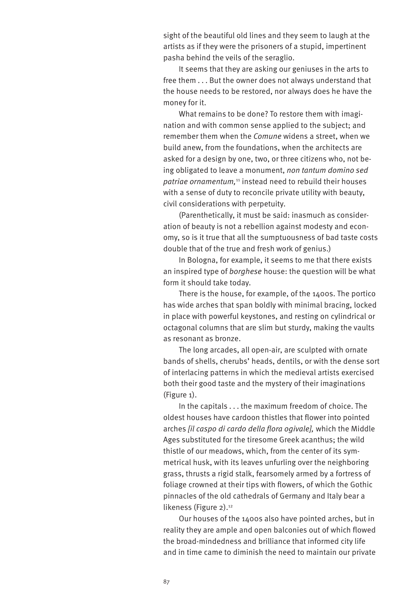sight of the beautiful old lines and they seem to laugh at the artists as if they were the prisoners of a stupid, impertinent pasha behind the veils of the seraglio.

It seems that they are asking our geniuses in the arts to free them . . . But the owner does not always understand that the house needs to be restored, nor always does he have the money for it.

What remains to be done? To restore them with imagination and with common sense applied to the subject; and remember them when the *Comune* widens a street, when we build anew, from the foundations, when the architects are asked for a design by one, two, or three citizens who, not being obligated to leave a monument, *non tantum domino sed*  patriae ornamentum,<sup>11</sup> instead need to rebuild their houses with a sense of duty to reconcile private utility with beauty, civil considerations with perpetuity.

(Parenthetically, it must be said: inasmuch as consideration of beauty is not a rebellion against modesty and economy, so is it true that all the sumptuousness of bad taste costs double that of the true and fresh work of genius.)

In Bologna, for example, it seems to me that there exists an inspired type of *borghese* house: the question will be what form it should take today.

There is the house, for example, of the 1400s. The portico has wide arches that span boldly with minimal bracing, locked in place with powerful keystones, and resting on cylindrical or octagonal columns that are slim but sturdy, making the vaults as resonant as bronze.

The long arcades, all open-air, are sculpted with ornate bands of shells, cherubs' heads, dentils, or with the dense sort of interlacing patterns in which the medieval artists exercised both their good taste and the mystery of their imaginations (Figure 1).

In the capitals . . . the maximum freedom of choice. The oldest houses have cardoon thistles that flower into pointed arches *[il caspo di cardo della flora ogivale],* which the Middle Ages substituted for the tiresome Greek acanthus; the wild thistle of our meadows, which, from the center of its symmetrical husk, with its leaves unfurling over the neighboring grass, thrusts a rigid stalk, fearsomely armed by a fortress of foliage crowned at their tips with flowers, of which the Gothic pinnacles of the old cathedrals of Germany and Italy bear a likeness (Figure 2).<sup>12</sup>

Our houses of the 1400s also have pointed arches, but in reality they are ample and open balconies out of which flowed the broad-mindedness and brilliance that informed city life and in time came to diminish the need to maintain our private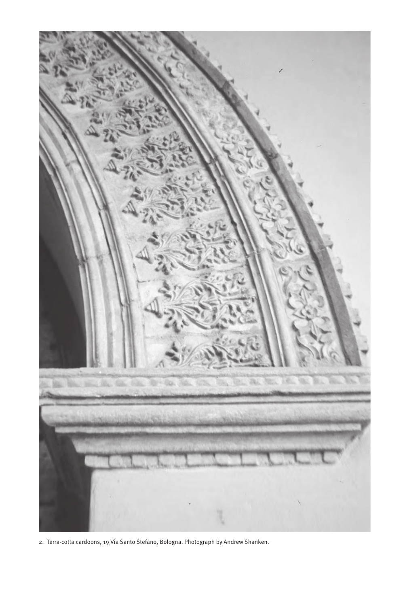

2. Terra-cotta cardoons, 19 Via Santo Stefano, Bologna. Photograph by Andrew Shanken.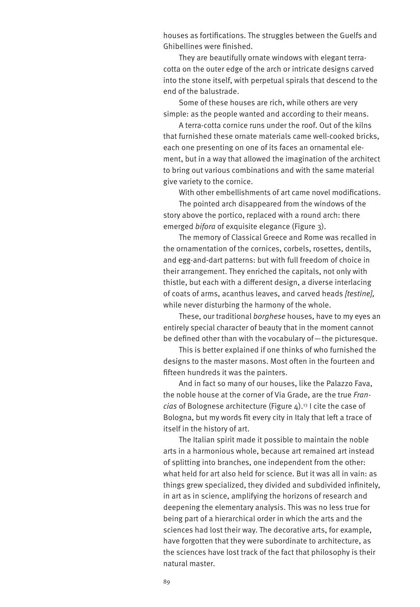houses as fortifications. The struggles between the Guelfs and Ghibellines were finished.

They are beautifully ornate windows with elegant terracotta on the outer edge of the arch or intricate designs carved into the stone itself, with perpetual spirals that descend to the end of the balustrade.

Some of these houses are rich, while others are very simple: as the people wanted and according to their means.

A terra-cotta cornice runs under the roof. Out of the kilns that furnished these ornate materials came well-cooked bricks, each one presenting on one of its faces an ornamental element, but in a way that allowed the imagination of the architect to bring out various combinations and with the same material give variety to the cornice.

With other embellishments of art came novel modifications.

The pointed arch disappeared from the windows of the story above the portico, replaced with a round arch: there emerged *bifora* of exquisite elegance (Figure 3).

The memory of Classical Greece and Rome was recalled in the ornamentation of the cornices, corbels, rosettes, dentils, and egg-and-dart patterns: but with full freedom of choice in their arrangement. They enriched the capitals, not only with thistle, but each with a different design, a diverse interlacing of coats of arms, acanthus leaves, and carved heads *[testine],* while never disturbing the harmony of the whole.

These, our traditional *borghese* houses, have to my eyes an entirely special character of beauty that in the moment cannot be defined other than with the vocabulary of—the picturesque.

This is better explained if one thinks of who furnished the designs to the master masons. Most often in the fourteen and fifteen hundreds it was the painters.

And in fact so many of our houses, like the Palazzo Fava, the noble house at the corner of Via Grade, are the true *Francias* of Bolognese architecture (Figure 4).13 I cite the case of Bologna, but my words fit every city in Italy that left a trace of itself in the history of art.

The Italian spirit made it possible to maintain the noble arts in a harmonious whole, because art remained art instead of splitting into branches, one independent from the other: what held for art also held for science. But it was all in vain: as things grew specialized, they divided and subdivided infinitely, in art as in science, amplifying the horizons of research and deepening the elementary analysis. This was no less true for being part of a hierarchical order in which the arts and the sciences had lost their way. The decorative arts, for example, have forgotten that they were subordinate to architecture, as the sciences have lost track of the fact that philosophy is their natural master.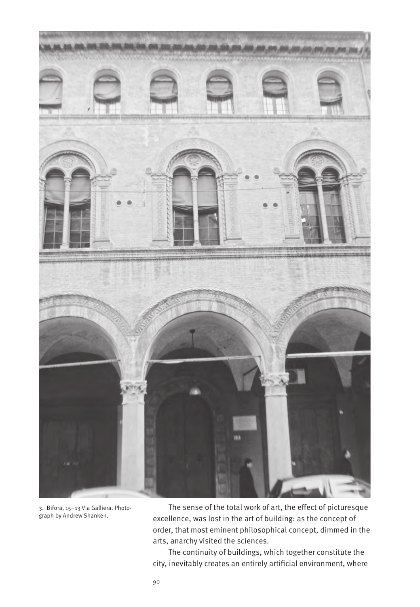

3. Bifora, 15–13 Via Galliera. Photograph by Andrew Shanken.

The sense of the total work of art, the effect of picturesque excellence, was lost in the art of building: as the concept of order, that most eminent philosophical concept, dimmed in the arts, anarchy visited the sciences.

The continuity of buildings, which together constitute the city, inevitably creates an entirely artificial environment, where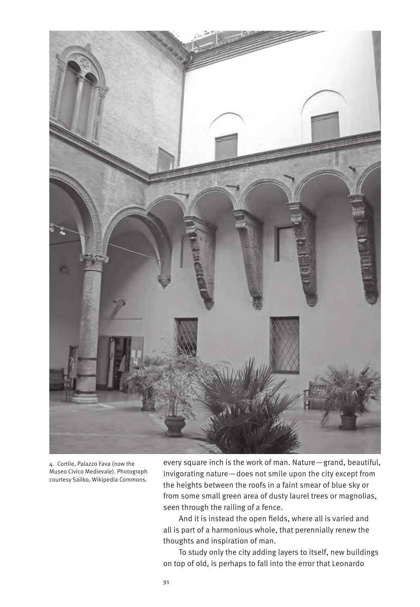

4. Cortile, Palazzo Fava (now the Museo Civico Medievale). Photograph courtesy Sailko, Wikipedia Commons.

every square inch is the work of man. Nature—grand, beautiful, invigorating nature—does not smile upon the city except from the heights between the roofs in a faint smear of blue sky or from some small green area of dusty laurel trees or magnolias, seen through the railing of a fence.

And it is instead the open fields, where all is varied and all is part of a harmonious whole, that perennially renew the thoughts and inspiration of man.

To study only the city adding layers to itself, new buildings on top of old, is perhaps to fall into the error that Leonardo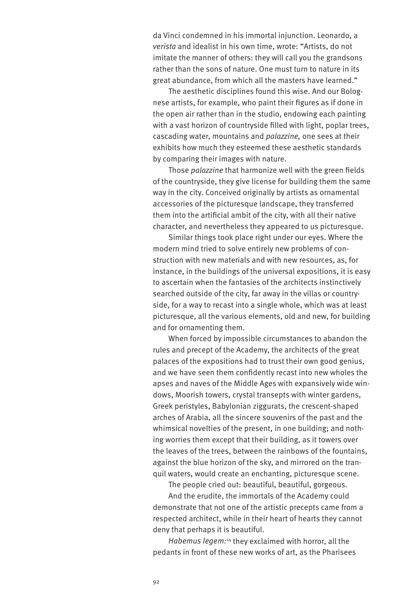da Vinci condemned in his immortal injunction. Leonardo, a *verista* and idealist in his own time, wrote: "Artists, do not imitate the manner of others: they will call you the grandsons rather than the sons of nature. One must turn to nature in its great abundance, from which all the masters have learned."

The aesthetic disciplines found this wise. And our Bolognese artists, for example, who paint their figures as if done in the open air rather than in the studio, endowing each painting with a vast horizon of countryside filled with light, poplar trees, cascading water, mountains and *palazzine,* one sees at their exhibits how much they esteemed these aesthetic standards by comparing their images with nature.

Those *palazzine* that harmonize well with the green fields of the countryside, they give license for building them the same way in the city. Conceived originally by artists as ornamental accessories of the picturesque landscape, they transferred them into the artificial ambit of the city, with all their native character, and nevertheless they appeared to us picturesque.

Similar things took place right under our eyes. Where the modern mind tried to solve entirely new problems of construction with new materials and with new resources, as, for instance, in the buildings of the universal expositions, it is easy to ascertain when the fantasies of the architects instinctively searched outside of the city, far away in the villas or countryside, for a way to recast into a single whole, which was at least picturesque, all the various elements, old and new, for building and for ornamenting them.

When forced by impossible circumstances to abandon the rules and precept of the Academy, the architects of the great palaces of the expositions had to trust their own good genius, and we have seen them confidently recast into new wholes the apses and naves of the Middle Ages with expansively wide windows, Moorish towers, crystal transepts with winter gardens, Greek peristyles, Babylonian ziggurats, the crescent-shaped arches of Arabia, all the sincere souvenirs of the past and the whimsical novelties of the present, in one building; and nothing worries them except that their building, as it towers over the leaves of the trees, between the rainbows of the fountains, against the blue horizon of the sky, and mirrored on the tranquil waters, would create an enchanting, picturesque scene.

The people cried out: beautiful, beautiful, gorgeous.

And the erudite, the immortals of the Academy could demonstrate that not one of the artistic precepts came from a respected architect, while in their heart of hearts they cannot deny that perhaps it is beautiful.

*Habemus legem:*14 they exclaimed with horror, all the pedants in front of these new works of art, as the Pharisees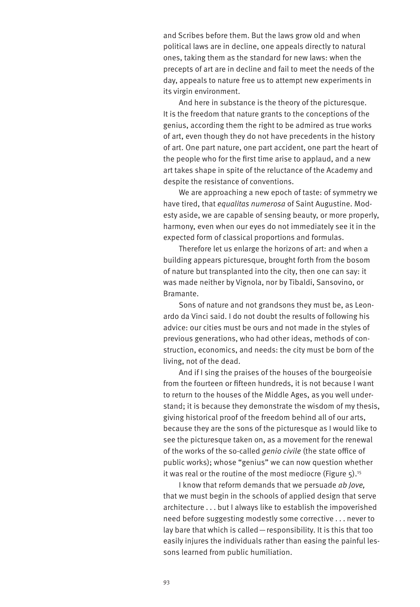and Scribes before them. But the laws grow old and when political laws are in decline, one appeals directly to natural ones, taking them as the standard for new laws: when the precepts of art are in decline and fail to meet the needs of the day, appeals to nature free us to attempt new experiments in its virgin environment.

And here in substance is the theory of the picturesque. It is the freedom that nature grants to the conceptions of the genius, according them the right to be admired as true works of art, even though they do not have precedents in the history of art. One part nature, one part accident, one part the heart of the people who for the first time arise to applaud, and a new art takes shape in spite of the reluctance of the Academy and despite the resistance of conventions.

We are approaching a new epoch of taste: of symmetry we have tired, that *equalitas numerosa* of Saint Augustine. Modesty aside, we are capable of sensing beauty, or more properly, harmony, even when our eyes do not immediately see it in the expected form of classical proportions and formulas.

Therefore let us enlarge the horizons of art: and when a building appears picturesque, brought forth from the bosom of nature but transplanted into the city, then one can say: it was made neither by Vignola, nor by Tibaldi, Sansovino, or Bramante.

Sons of nature and not grandsons they must be, as Leonardo da Vinci said. I do not doubt the results of following his advice: our cities must be ours and not made in the styles of previous generations, who had other ideas, methods of construction, economics, and needs: the city must be born of the living, not of the dead.

And if I sing the praises of the houses of the bourgeoisie from the fourteen or fifteen hundreds, it is not because I want to return to the houses of the Middle Ages, as you well understand; it is because they demonstrate the wisdom of my thesis, giving historical proof of the freedom behind all of our arts, because they are the sons of the picturesque as I would like to see the picturesque taken on, as a movement for the renewal of the works of the so-called *genio civile* (the state office of public works); whose "genius" we can now question whether it was real or the routine of the most mediocre (Figure  $5$ ).<sup>15</sup>

I know that reform demands that we persuade *ab Jove,* that we must begin in the schools of applied design that serve architecture . . . but I always like to establish the impoverished need before suggesting modestly some corrective . . . never to lay bare that which is called—responsibility. It is this that too easily injures the individuals rather than easing the painful lessons learned from public humiliation.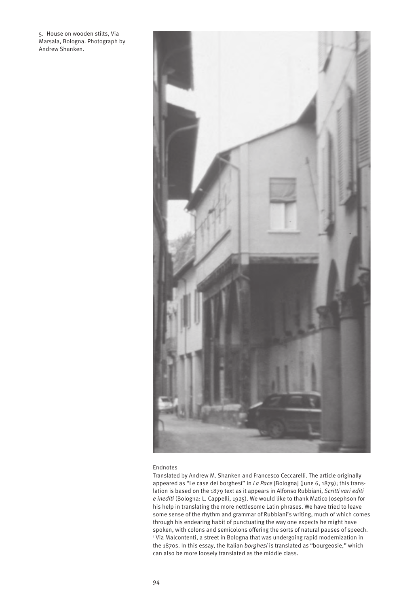5. House on wooden stilts, Via Marsala, Bologna. Photograph by Andrew Shanken.



## Endnotes

Translated by Andrew M. Shanken and Francesco Ceccarelli. The article originally appeared as "Le case dei borghesi" in *La Pace* [Bologna] (June 6, 1879); this translation is based on the 1879 text as it appears in Alfonso Rubbiani, *Scritti vari editi e inediti* (Bologna: L. Cappelli, 1925). We would like to thank Matico Josephson for his help in translating the more nettlesome Latin phrases. We have tried to leave some sense of the rhythm and grammar of Rubbiani's writing, much of which comes through his endearing habit of punctuating the way one expects he might have spoken, with colons and semicolons offering the sorts of natural pauses of speech. 1 Via Malcontenti, a street in Bologna that was undergoing rapid modernization in the 1870s. In this essay, the Italian *borghesi* is translated as "bourgeosie," which can also be more loosely translated as the middle class.